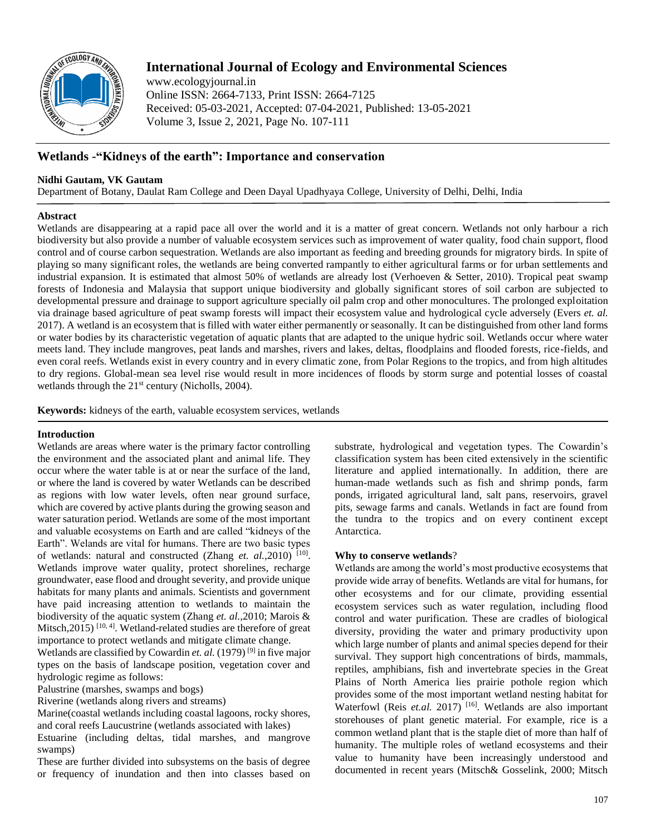

# **International Journal of Ecology and Environmental Sciences**

www.ecologyjournal.in Online ISSN: 2664-7133, Print ISSN: 2664-7125 Received: 05-03-2021, Accepted: 07-04-2021, Published: 13-05-2021 Volume 3, Issue 2, 2021, Page No. 107-111

## **Wetlands -"Kidneys of the earth": Importance and conservation**

### **Nidhi Gautam, VK Gautam**

Department of Botany, Daulat Ram College and Deen Dayal Upadhyaya College, University of Delhi, Delhi, India

### **Abstract**

Wetlands are disappearing at a rapid pace all over the world and it is a matter of great concern. Wetlands not only harbour a rich biodiversity but also provide a number of valuable ecosystem services such as improvement of water quality, food chain support, flood control and of course carbon sequestration. Wetlands are also important as feeding and breeding grounds for migratory birds. In spite of playing so many significant roles, the wetlands are being converted rampantly to either agricultural farms or for urban settlements and industrial expansion. It is estimated that almost 50% of wetlands are already lost (Verhoeven & Setter, 2010). Tropical peat swamp forests of Indonesia and Malaysia that support unique biodiversity and globally significant stores of soil carbon are subjected to developmental pressure and drainage to support agriculture specially oil palm crop and other monocultures. The prolonged exploitation via drainage based agriculture of peat swamp forests will impact their ecosystem value and hydrological cycle adversely (Evers *et. al.* 2017). A wetland is an ecosystem that is filled with water either permanently or seasonally. It can be distinguished from other land forms or water bodies by its characteristic vegetation of aquatic plants that are adapted to the unique hydric soil. Wetlands occur where water meets land. They include mangroves, peat lands and marshes, rivers and lakes, deltas, floodplains and flooded forests, rice-fields, and even coral reefs. Wetlands exist in every country and in every climatic zone, from Polar Regions to the tropics, and from high altitudes to dry regions. Global-mean sea level rise would result in more incidences of floods by storm surge and potential losses of coastal wetlands through the  $21<sup>st</sup>$  century (Nicholls, 2004).

**Keywords:** kidneys of the earth, valuable ecosystem services, wetlands

### **Introduction**

Wetlands are areas where water is the primary factor controlling the environment and the associated plant and animal life. They occur where the water table is at or near the surface of the land, or where the land is covered by water Wetlands can be described as regions with low water levels, often near ground surface, which are covered by active plants during the growing season and water saturation period. Wetlands are some of the most important and valuable ecosystems on Earth and are called "kidneys of the Earth". Welands are vital for humans. There are two basic types of wetlands: natural and constructed (Zhang et. al.,2010)<sup>[10]</sup>. Wetlands improve water quality, protect shorelines, recharge groundwater, ease flood and drought severity, and provide unique habitats for many plants and animals. Scientists and government have paid increasing attention to wetlands to maintain the biodiversity of the aquatic system (Zhang *et. al.*,2010; Marois & Mitsch,  $2015$ )  $[10, 4]$ . Wetland-related studies are therefore of great importance to protect wetlands and mitigate climate change.

Wetlands are classified by Cowardin *et. al.* (1979)<sup>[9]</sup> in five major types on the basis of landscape position, vegetation cover and hydrologic regime as follows:

Palustrine (marshes, swamps and bogs)

Riverine (wetlands along rivers and streams)

Marine(coastal wetlands including coastal lagoons, rocky shores, and coral reefs Laucustrine (wetlands associated with lakes)

Estuarine (including deltas, tidal marshes, and mangrove swamps)

These are further divided into subsystems on the basis of degree or frequency of inundation and then into classes based on

substrate, hydrological and vegetation types. The Cowardin's classification system has been cited extensively in the scientific literature and applied internationally. In addition, there are human-made wetlands such as fish and shrimp ponds, farm ponds, irrigated agricultural land, salt pans, reservoirs, gravel pits, sewage farms and canals. Wetlands in fact are found from the tundra to the tropics and on every continent except Antarctica.

### **Why to conserve wetlands**?

Wetlands are among the world's most productive ecosystems that provide wide array of benefits. Wetlands are vital for humans, for other ecosystems and for our climate, providing essential ecosystem services such as water regulation, including flood control and water purification. These are cradles of biological diversity, providing the water and primary productivity upon which large number of plants and animal species depend for their survival. They support high concentrations of birds, mammals, reptiles, amphibians, fish and invertebrate species in the Great Plains of North America lies prairie pothole region which provides some of the most important wetland nesting habitat for Waterfowl (Reis *et.al.* 2017)<sup>[16]</sup>. Wetlands are also important storehouses of plant genetic material. For example, rice is a common wetland plant that is the staple diet of more than half of humanity. The multiple roles of wetland ecosystems and their value to humanity have been increasingly understood and documented in recent years (Mitsch& Gosselink, 2000; Mitsch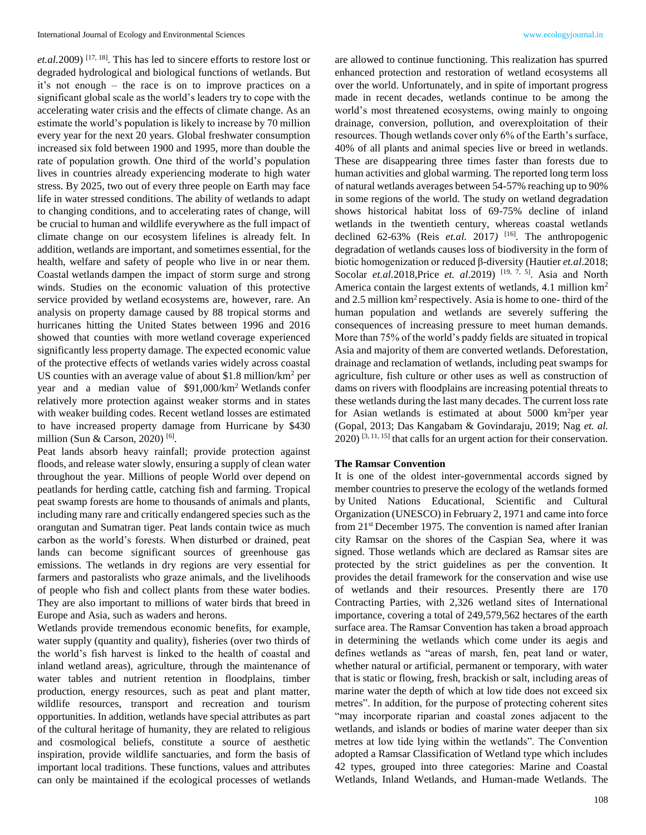*et.al.*2009) [17, 18] . This has led to sincere efforts to restore lost or degraded hydrological and biological functions of wetlands. But it's not enough – the race is on to improve practices on a significant global scale as the world's leaders try to cope with the accelerating water crisis and the effects of climate change. As an estimate the world's population is likely to increase by 70 million every year for the next 20 years. Global freshwater consumption increased six fold between 1900 and 1995, more than double the rate of population growth. One third of the world's population lives in countries already experiencing moderate to high water stress. By 2025, two out of every three people on Earth may face life in water stressed conditions. The ability of wetlands to adapt to changing conditions, and to accelerating rates of change, will be crucial to human and wildlife everywhere as the full impact of climate change on our ecosystem lifelines is already felt. In addition, wetlands are important, and sometimes essential, for the health, welfare and safety of people who live in or near them. Coastal wetlands dampen the impact of storm surge and strong winds. Studies on the economic valuation of this protective service provided by wetland ecosystems are, however, rare. An analysis on property damage caused by 88 tropical storms and hurricanes hitting the United States between 1996 and 2016 showed that counties with more wetland coverage experienced significantly less property damage. The expected economic value of the protective effects of wetlands varies widely across coastal US counties with an average value of about \$1.8 million/km<sup>2</sup> per year and a median value of \$91,000/km<sup>2</sup> Wetlands confer relatively more protection against weaker storms and in states with weaker building codes. Recent wetland losses are estimated to have increased property damage from Hurricane by \$430 million (Sun & Carson, 2020)<sup>[6]</sup>.

Peat lands absorb heavy rainfall; provide protection against floods, and release water slowly, ensuring a supply of clean water throughout the year. Millions of people World over depend on peatlands for herding cattle, catching fish and farming. Tropical peat swamp forests are home to thousands of animals and plants, including many rare and critically endangered species such as the orangutan and Sumatran tiger. Peat lands contain twice as much carbon as the world's forests. When disturbed or drained, peat lands can become significant sources of greenhouse gas emissions. The wetlands in dry regions are very essential for farmers and pastoralists who graze animals, and the livelihoods of people who fish and collect plants from these water bodies. They are also important to millions of water birds that breed in Europe and Asia, such as waders and herons.

Wetlands provide tremendous economic benefits, for example, water supply (quantity and quality), fisheries (over two thirds of the world's fish harvest is linked to the health of coastal and inland wetland areas), agriculture, through the maintenance of water tables and nutrient retention in floodplains, timber production, energy resources, such as peat and plant matter, wildlife resources, transport and recreation and tourism opportunities. In addition, wetlands have special attributes as part of the cultural heritage of humanity, they are related to religious and cosmological beliefs, constitute a source of aesthetic inspiration, provide wildlife sanctuaries, and form the basis of important local traditions. These functions, values and attributes can only be maintained if the ecological processes of wetlands

are allowed to continue functioning. This realization has spurred enhanced protection and restoration of wetland ecosystems all over the world. Unfortunately, and in spite of important progress made in recent decades, wetlands continue to be among the world's most threatened ecosystems, owing mainly to ongoing drainage, conversion, pollution, and overexploitation of their resources. Though wetlands cover only 6% of the Earth's surface, 40% of all plants and animal species live or breed in wetlands. These are disappearing three times faster than forests due to human activities and global warming. The reported long term loss of natural wetlands averages between 54-57% reaching up to 90% in some regions of the world. The study on wetland degradation shows historical habitat loss of 69-75% decline of inland wetlands in the twentieth century, whereas coastal wetlands declined 62-63% (Reis *et.al.* 2017*)* [16] *.* The anthropogenic degradation of wetlands causes loss of biodiversity in the form of biotic homogenization or reduced β-diversity (Hautier *et.al*.2018; Socolar *et.al.* 2018, Price *et. al.* 2019)<sup>[19, 7, 5]. Asia and North</sup> America contain the largest extents of wetlands, 4.1 million km<sup>2</sup> and 2.5 million  $km^2$  respectively. Asia is home to one- third of the human population and wetlands are severely suffering the consequences of increasing pressure to meet human demands. More than 75% of the world's paddy fields are situated in tropical Asia and majority of them are converted wetlands. Deforestation, drainage and reclamation of wetlands, including peat swamps for agriculture, fish culture or other uses as well as construction of dams on rivers with floodplains are increasing potential threats to these wetlands during the last many decades. The current loss rate for Asian wetlands is estimated at about  $5000 \text{ km}^2$  per year (Gopal, 2013; Das Kangabam & Govindaraju, 2019; Nag *et. al.*   $2020$ ) <sup>[3, 11, 15]</sup> that calls for an urgent action for their conservation.

#### **The Ramsar Convention**

It is one of the oldest inter-governmental accords signed by member countries to preserve the ecology of the wetlands formed by United Nations Educational, Scientific and Cultural Organization (UNESCO) in February 2, 1971 and came into force from 21<sup>st</sup> December 1975. The convention is named after Iranian city Ramsar on the shores of the Caspian Sea, where it was signed. Those wetlands which are declared as Ramsar sites are protected by the strict guidelines as per the convention. It provides the detail framework for the conservation and wise use of wetlands and their resources. Presently there are 170 Contracting Parties, with 2,326 wetland sites of International importance, covering a total of 249,579,562 hectares of the earth surface area. The Ramsar Convention has taken a broad approach in determining the wetlands which come under its aegis and defines wetlands as "areas of marsh, fen, peat land or water, whether natural or artificial, permanent or temporary, with water that is static or flowing, fresh, brackish or salt, including areas of marine water the depth of which at low tide does not exceed six metres". In addition, for the purpose of protecting coherent sites "may incorporate riparian and coastal zones adjacent to the wetlands, and islands or bodies of marine water deeper than six metres at low tide lying within the wetlands". The Convention adopted a Ramsar Classification of Wetland type which includes 42 types, grouped into three categories: Marine and Coastal Wetlands, Inland Wetlands, and Human-made Wetlands. The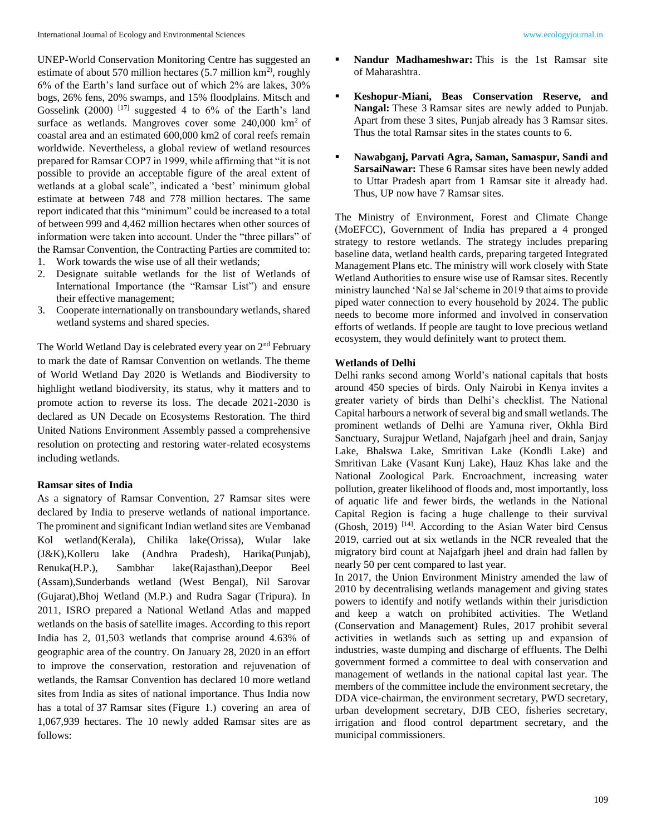UNEP-World Conservation Monitoring Centre has suggested an estimate of about 570 million hectares  $(5.7 \text{ million km}^2)$ , roughly 6% of the Earth's land surface out of which 2% are lakes, 30% bogs, 26% fens, 20% swamps, and 15% floodplains. Mitsch and Gosselink (2000)<sup>[17]</sup> suggested 4 to 6% of the Earth's land surface as wetlands. Mangroves cover some  $240,000$  km<sup>2</sup> of coastal area and an estimated 600,000 km2 of coral reefs remain worldwide. Nevertheless, a global review of wetland resources prepared for Ramsar COP7 in 1999, while affirming that "it is not possible to provide an acceptable figure of the areal extent of wetlands at a global scale", indicated a 'best' minimum global estimate at between 748 and 778 million hectares. The same report indicated that this "minimum" could be increased to a total of between 999 and 4,462 million hectares when other sources of information were taken into account. Under the "three pillars" of the Ramsar Convention, the Contracting Parties are commited to:

- 1. Work towards the wise use of all their wetlands;
- 2. Designate suitable wetlands for the list of Wetlands of International Importance (the "Ramsar List") and ensure their effective management;
- 3. Cooperate internationally on transboundary wetlands, shared wetland systems and shared species.

The World Wetland Day is celebrated every year on  $2<sup>nd</sup>$  February to mark the date of Ramsar Convention on wetlands. The theme of World Wetland Day 2020 is Wetlands and Biodiversity to highlight wetland biodiversity, its status, why it matters and to promote action to reverse its loss. The decade 2021-2030 is declared as UN Decade on Ecosystems Restoration. The third United Nations Environment Assembly passed a comprehensive resolution on protecting and restoring water-related ecosystems including wetlands.

#### **Ramsar sites of India**

As a signatory of Ramsar Convention, 27 Ramsar sites were declared by India to preserve wetlands of national importance. The prominent and significant Indian wetland sites are Vembanad Kol wetland(Kerala), Chilika lake(Orissa), Wular lake (J&K),Kolleru lake (Andhra Pradesh), Harika(Punjab), Renuka(H.P.), Sambhar lake(Rajasthan),Deepor Beel (Assam),Sunderbands wetland (West Bengal), Nil Sarovar (Gujarat),Bhoj Wetland (M.P.) and Rudra Sagar (Tripura). In 2011, ISRO prepared a National Wetland Atlas and mapped wetlands on the basis of satellite images. According to this report India has 2, 01,503 wetlands that comprise around 4.63% of geographic area of the country. On January 28, 2020 in an effort to improve the conservation, restoration and rejuvenation of wetlands, the Ramsar Convention has declared 10 more wetland sites from India as sites of national importance. Thus India now has a total of 37 Ramsar sites (Figure 1.) covering an area of 1,067,939 hectares. The 10 newly added Ramsar sites are as follows:

- **Nandur Madhameshwar:** This is the 1st Ramsar site of Maharashtra.
- **Keshopur-Miani, Beas Conservation Reserve, and Nangal:** These 3 Ramsar sites are newly added to Punjab. Apart from these 3 sites, Punjab already has 3 Ramsar sites. Thus the total Ramsar sites in the states counts to 6.
- **Nawabganj, Parvati Agra, Saman, Samaspur, Sandi and SarsaiNawar:** These 6 Ramsar sites have been newly added to Uttar Pradesh apart from 1 Ramsar site it already had. Thus, UP now have 7 Ramsar sites.

The Ministry of Environment, Forest and Climate Change (MoEFCC), Government of India has prepared a 4 pronged strategy to restore wetlands. The strategy includes preparing baseline data, wetland health cards, preparing targeted Integrated Management Plans etc. The ministry will work closely with State Wetland Authorities to ensure wise use of Ramsar sites. Recently ministry launched 'Nal se Jal'scheme in 2019 that aims to provide piped water connection to every household by 2024. The public needs to become more informed and involved in conservation efforts of wetlands. If people are taught to love precious wetland ecosystem, they would definitely want to protect them.

#### **Wetlands of Delhi**

Delhi ranks second among World's national capitals that hosts around 450 species of birds. Only Nairobi in Kenya invites a greater variety of birds than Delhi's checklist. The National Capital harbours a network of several big and small wetlands. The prominent wetlands of Delhi are Yamuna river, Okhla Bird Sanctuary, Surajpur Wetland, Najafgarh jheel and drain, Sanjay Lake, Bhalswa Lake, Smritivan Lake (Kondli Lake) and Smritivan Lake (Vasant Kunj Lake), Hauz Khas lake and the National Zoological Park. Encroachment, increasing water pollution, greater likelihood of floods and, most importantly, loss of aquatic life and fewer birds, the wetlands in the National Capital Region is facing a huge challenge to their survival (Ghosh, 2019)<sup>[14]</sup>. According to the Asian Water bird Census 2019, carried out at six wetlands in the NCR revealed that the migratory bird count at Najafgarh jheel and drain had fallen by nearly 50 per cent compared to last year.

In 2017, the Union Environment Ministry amended the law of 2010 by decentralising wetlands management and giving states powers to identify and notify wetlands within their jurisdiction and keep a watch on prohibited activities. The Wetland (Conservation and Management) Rules, 2017 prohibit several activities in wetlands such as setting up and expansion of industries, waste dumping and discharge of effluents. The Delhi government formed a committee to deal with conservation and management of wetlands in the national capital last year. The members of the committee include the environment secretary, the DDA vice-chairman, the environment secretary, PWD secretary, urban development secretary, DJB CEO, fisheries secretary, irrigation and flood control department secretary, and the municipal commissioners.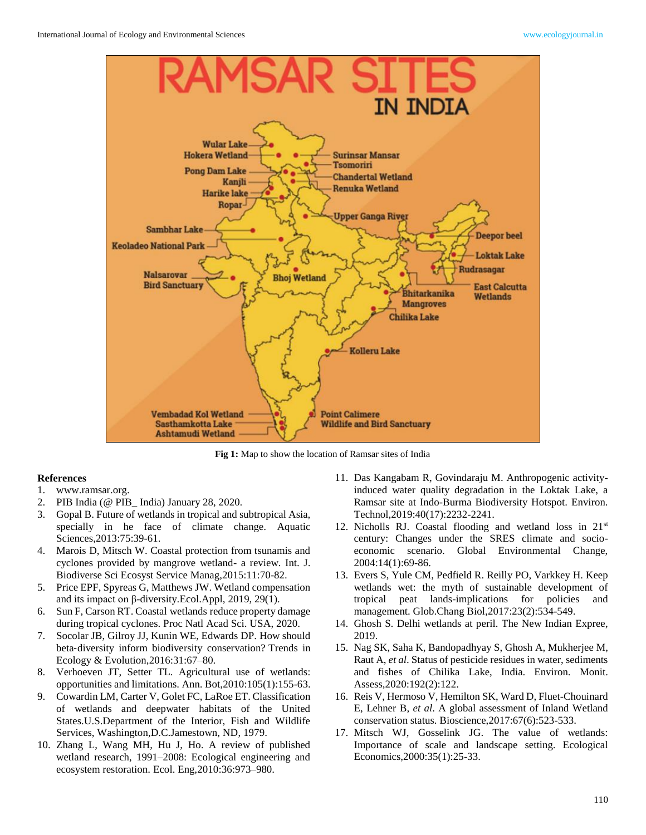

**Fig 1:** Map to show the location of Ramsar sites of India

#### **References**

- 1. www.ramsar.org.
- 2. PIB India (@ PIB\_ India) January 28, 2020.
- 3. Gopal B. Future of wetlands in tropical and subtropical Asia, specially in he face of climate change. Aquatic Sciences,2013:75:39-61.
- 4. Marois D, Mitsch W. Coastal protection from tsunamis and cyclones provided by mangrove wetland- a review. Int. J. Biodiverse Sci Ecosyst Service Manag,2015:11:70-82.
- 5. Price EPF, Spyreas G, Matthews JW. Wetland compensation and its impact on β-diversity.Ecol.Appl, 2019, 29(1).
- 6. Sun F, Carson RT. Coastal wetlands reduce property damage during tropical cyclones. Proc Natl Acad Sci. USA, 2020.
- 7. Socolar JB, Gilroy JJ, Kunin WE, Edwards DP. How should beta‐diversity inform biodiversity conservation? Trends in Ecology & Evolution,2016:31:67–80.
- 8. Verhoeven JT, Setter TL. Agricultural use of wetlands: opportunities and limitations. Ann. Bot,2010:105(1):155-63.
- 9. Cowardin LM, Carter V, Golet FC, LaRoe ET. Classification of wetlands and deepwater habitats of the United States.U.S.Department of the Interior, Fish and Wildlife Services, Washington,D.C.Jamestown, ND, 1979.
- 10. Zhang L, Wang MH, Hu J, Ho. A review of published wetland research, 1991–2008: Ecological engineering and ecosystem restoration. Ecol. Eng,2010:36:973–980.
- 11. Das Kangabam R, Govindaraju M. Anthropogenic activityinduced water quality degradation in the Loktak Lake, a Ramsar site at Indo-Burma Biodiversity Hotspot. Environ. Technol,2019:40(17):2232-2241.
- 12. Nicholls RJ. Coastal flooding and wetland loss in  $21<sup>st</sup>$ century: Changes under the SRES climate and socioeconomic scenario. Global Environmental Change, 2004:14(1):69-86.
- 13. Evers S, Yule CM, Pedfield R. Reilly PO, Varkkey H. Keep wetlands wet: the myth of sustainable development of tropical peat lands-implications for policies and management. Glob.Chang Biol,2017:23(2):534-549.
- 14. Ghosh S. Delhi wetlands at peril. The New Indian Expree, 2019.
- 15. Nag SK, Saha K, Bandopadhyay S, Ghosh A, Mukherjee M, Raut A, *et al*. Status of pesticide residues in water, sediments and fishes of Chilika Lake, India. Environ. Monit. Assess,2020:192(2):122.
- 16. Reis V, Hermoso V, Hemilton SK, Ward D, Fluet-Chouinard E, Lehner B, *et al*. A global assessment of Inland Wetland conservation status. Bioscience,2017:67(6):523-533.
- 17. Mitsch WJ, Gosselink JG. The value of wetlands: Importance of scale and landscape setting. Ecological Economics,2000:35(1):25-33.